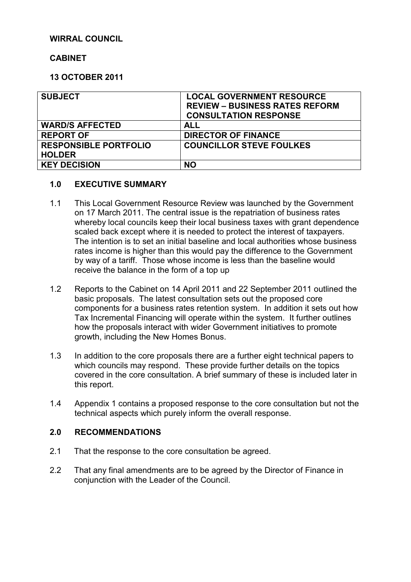### **WIRRAL COUNCIL**

# **CABINET**

# **13 OCTOBER 2011**

| <b>SUBJECT</b>               | <b>LOCAL GOVERNMENT RESOURCE</b><br><b>REVIEW - BUSINESS RATES REFORM</b><br><b>CONSULTATION RESPONSE</b> |
|------------------------------|-----------------------------------------------------------------------------------------------------------|
| <b>WARD/S AFFECTED</b>       | ALL                                                                                                       |
| <b>REPORT OF</b>             | <b>DIRECTOR OF FINANCE</b>                                                                                |
| <b>RESPONSIBLE PORTFOLIO</b> | <b>COUNCILLOR STEVE FOULKES</b>                                                                           |
| <b>HOLDER</b>                |                                                                                                           |
| <b>KEY DECISION</b>          | <b>NO</b>                                                                                                 |

#### **1.0 EXECUTIVE SUMMARY**

- 1.1 This Local Government Resource Review was launched by the Government on 17 March 2011. The central issue is the repatriation of business rates whereby local councils keep their local business taxes with grant dependence scaled back except where it is needed to protect the interest of taxpayers. The intention is to set an initial baseline and local authorities whose business rates income is higher than this would pay the difference to the Government by way of a tariff. Those whose income is less than the baseline would receive the balance in the form of a top up
- 1.2 Reports to the Cabinet on 14 April 2011 and 22 September 2011 outlined the basic proposals. The latest consultation sets out the proposed core components for a business rates retention system. In addition it sets out how Tax Incremental Financing will operate within the system. It further outlines how the proposals interact with wider Government initiatives to promote growth, including the New Homes Bonus.
- 1.3 In addition to the core proposals there are a further eight technical papers to which councils may respond. These provide further details on the topics covered in the core consultation. A brief summary of these is included later in this report.
- 1.4 Appendix 1 contains a proposed response to the core consultation but not the technical aspects which purely inform the overall response.

#### **2.0 RECOMMENDATIONS**

- 2.1 That the response to the core consultation be agreed.
- 2.2 That any final amendments are to be agreed by the Director of Finance in conjunction with the Leader of the Council.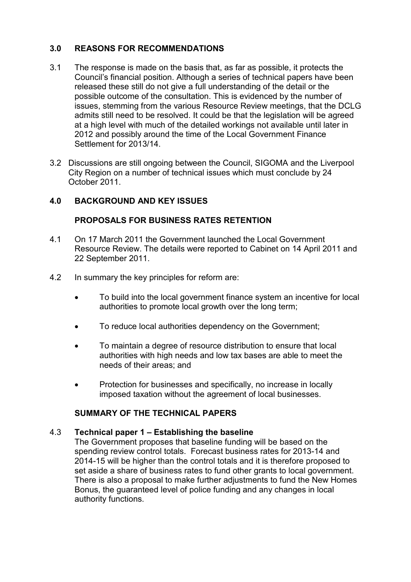# **3.0 REASONS FOR RECOMMENDATIONS**

- 3.1 The response is made on the basis that, as far as possible, it protects the Council's financial position. Although a series of technical papers have been released these still do not give a full understanding of the detail or the possible outcome of the consultation. This is evidenced by the number of issues, stemming from the various Resource Review meetings, that the DCLG admits still need to be resolved. It could be that the legislation will be agreed at a high level with much of the detailed workings not available until later in 2012 and possibly around the time of the Local Government Finance Settlement for 2013/14.
- 3.2 Discussions are still ongoing between the Council, SIGOMA and the Liverpool City Region on a number of technical issues which must conclude by 24 October 2011.

# **4.0 BACKGROUND AND KEY ISSUES**

# **PROPOSALS FOR BUSINESS RATES RETENTION**

- 4.1 On 17 March 2011 the Government launched the Local Government Resource Review. The details were reported to Cabinet on 14 April 2011 and 22 September 2011.
- 4.2 In summary the key principles for reform are:
	- To build into the local government finance system an incentive for local authorities to promote local growth over the long term;
	- To reduce local authorities dependency on the Government;
	- To maintain a degree of resource distribution to ensure that local authorities with high needs and low tax bases are able to meet the needs of their areas; and
	- Protection for businesses and specifically, no increase in locally imposed taxation without the agreement of local businesses.

#### **SUMMARY OF THE TECHNICAL PAPERS**

#### 4.3 **Technical paper 1 – Establishing the baseline**

The Government proposes that baseline funding will be based on the spending review control totals. Forecast business rates for 2013-14 and 2014-15 will be higher than the control totals and it is therefore proposed to set aside a share of business rates to fund other grants to local government. There is also a proposal to make further adjustments to fund the New Homes Bonus, the guaranteed level of police funding and any changes in local authority functions.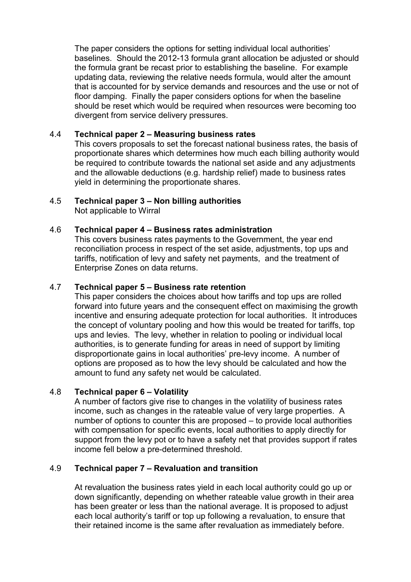The paper considers the options for setting individual local authorities' baselines. Should the 2012-13 formula grant allocation be adjusted or should the formula grant be recast prior to establishing the baseline. For example updating data, reviewing the relative needs formula, would alter the amount that is accounted for by service demands and resources and the use or not of floor damping. Finally the paper considers options for when the baseline should be reset which would be required when resources were becoming too divergent from service delivery pressures.

# 4.4 **Technical paper 2 – Measuring business rates**

This covers proposals to set the forecast national business rates, the basis of proportionate shares which determines how much each billing authority would be required to contribute towards the national set aside and any adjustments and the allowable deductions (e.g. hardship relief) made to business rates yield in determining the proportionate shares.

# 4.5 **Technical paper 3 – Non billing authorities**

Not applicable to Wirral

# 4.6 **Technical paper 4 – Business rates administration**

This covers business rates payments to the Government, the year end reconciliation process in respect of the set aside, adjustments, top ups and tariffs, notification of levy and safety net payments, and the treatment of Enterprise Zones on data returns.

# 4.7 **Technical paper 5 – Business rate retention**

This paper considers the choices about how tariffs and top ups are rolled forward into future years and the consequent effect on maximising the growth incentive and ensuring adequate protection for local authorities. It introduces the concept of voluntary pooling and how this would be treated for tariffs, top ups and levies. The levy, whether in relation to pooling or individual local authorities, is to generate funding for areas in need of support by limiting disproportionate gains in local authorities' pre-levy income. A number of options are proposed as to how the levy should be calculated and how the amount to fund any safety net would be calculated.

#### 4.8 **Technical paper 6 – Volatility**

A number of factors give rise to changes in the volatility of business rates income, such as changes in the rateable value of very large properties. A number of options to counter this are proposed – to provide local authorities with compensation for specific events, local authorities to apply directly for support from the levy pot or to have a safety net that provides support if rates income fell below a pre-determined threshold.

# 4.9 **Technical paper 7 – Revaluation and transition**

At revaluation the business rates yield in each local authority could go up or down significantly, depending on whether rateable value growth in their area has been greater or less than the national average. It is proposed to adjust each local authority's tariff or top up following a revaluation, to ensure that their retained income is the same after revaluation as immediately before.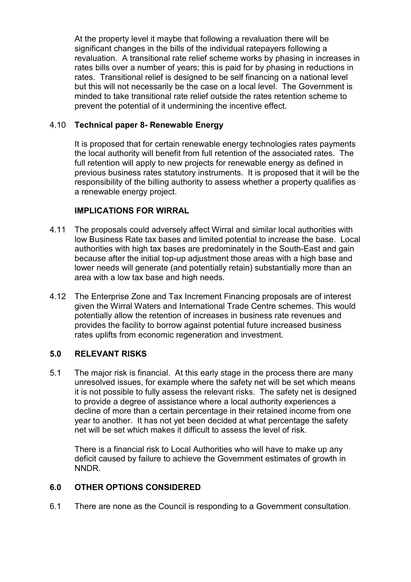At the property level it maybe that following a revaluation there will be significant changes in the bills of the individual ratepayers following a revaluation. A transitional rate relief scheme works by phasing in increases in rates bills over a number of years; this is paid for by phasing in reductions in rates. Transitional relief is designed to be self financing on a national level but this will not necessarily be the case on a local level. The Government is minded to take transitional rate relief outside the rates retention scheme to prevent the potential of it undermining the incentive effect.

### 4.10 **Technical paper 8- Renewable Energy**

It is proposed that for certain renewable energy technologies rates payments the local authority will benefit from full retention of the associated rates. The full retention will apply to new projects for renewable energy as defined in previous business rates statutory instruments. It is proposed that it will be the responsibility of the billing authority to assess whether a property qualifies as a renewable energy project.

# **IMPLICATIONS FOR WIRRAL**

- 4.11 The proposals could adversely affect Wirral and similar local authorities with low Business Rate tax bases and limited potential to increase the base. Local authorities with high tax bases are predominately in the South-East and gain because after the initial top-up adjustment those areas with a high base and lower needs will generate (and potentially retain) substantially more than an area with a low tax base and high needs.
- 4.12 The Enterprise Zone and Tax Increment Financing proposals are of interest given the Wirral Waters and International Trade Centre schemes. This would potentially allow the retention of increases in business rate revenues and provides the facility to borrow against potential future increased business rates uplifts from economic regeneration and investment.

#### **5.0 RELEVANT RISKS**

5.1 The major risk is financial. At this early stage in the process there are many unresolved issues, for example where the safety net will be set which means it is not possible to fully assess the relevant risks. The safety net is designed to provide a degree of assistance where a local authority experiences a decline of more than a certain percentage in their retained income from one year to another. It has not yet been decided at what percentage the safety net will be set which makes it difficult to assess the level of risk.

There is a financial risk to Local Authorities who will have to make up any deficit caused by failure to achieve the Government estimates of growth in NNDR.

#### **6.0 OTHER OPTIONS CONSIDERED**

6.1 There are none as the Council is responding to a Government consultation.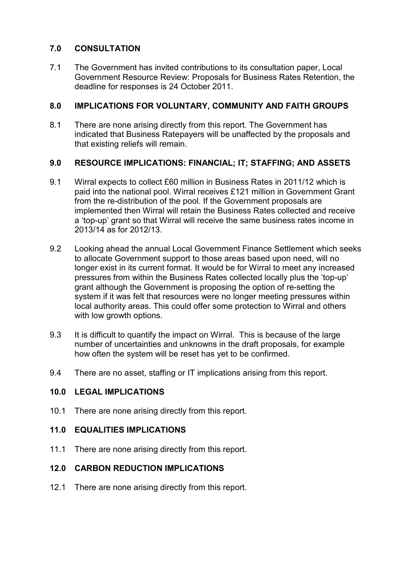# **7.0 CONSULTATION**

7.1 The Government has invited contributions to its consultation paper, Local Government Resource Review: Proposals for Business Rates Retention, the deadline for responses is 24 October 2011.

# **8.0 IMPLICATIONS FOR VOLUNTARY, COMMUNITY AND FAITH GROUPS**

8.1 There are none arising directly from this report. The Government has indicated that Business Ratepayers will be unaffected by the proposals and that existing reliefs will remain.

# **9.0 RESOURCE IMPLICATIONS: FINANCIAL; IT; STAFFING; AND ASSETS**

- 9.1 Wirral expects to collect £60 million in Business Rates in 2011/12 which is paid into the national pool. Wirral receives £121 million in Government Grant from the re-distribution of the pool. If the Government proposals are implemented then Wirral will retain the Business Rates collected and receive a 'top-up' grant so that Wirral will receive the same business rates income in 2013/14 as for 2012/13.
- 9.2 Looking ahead the annual Local Government Finance Settlement which seeks to allocate Government support to those areas based upon need, will no longer exist in its current format. It would be for Wirral to meet any increased pressures from within the Business Rates collected locally plus the 'top-up' grant although the Government is proposing the option of re-setting the system if it was felt that resources were no longer meeting pressures within local authority areas. This could offer some protection to Wirral and others with low growth options.
- 9.3 It is difficult to quantify the impact on Wirral. This is because of the large number of uncertainties and unknowns in the draft proposals, for example how often the system will be reset has yet to be confirmed.
- 9.4 There are no asset, staffing or IT implications arising from this report.

# **10.0 LEGAL IMPLICATIONS**

10.1 There are none arising directly from this report.

#### **11.0 EQUALITIES IMPLICATIONS**

11.1 There are none arising directly from this report.

# **12.0 CARBON REDUCTION IMPLICATIONS**

12.1 There are none arising directly from this report.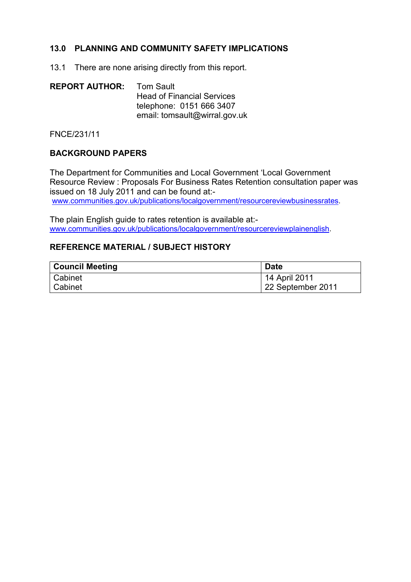# **13.0 PLANNING AND COMMUNITY SAFETY IMPLICATIONS**

13.1 There are none arising directly from this report.

| <b>REPORT AUTHOR:</b> | Tom Sault                         |
|-----------------------|-----------------------------------|
|                       | <b>Head of Financial Services</b> |
|                       | telephone: 0151 666 3407          |
|                       | email: tomsault@wirral.gov.uk     |

FNCE/231/11

#### **BACKGROUND PAPERS**

The Department for Communities and Local Government 'Local Government Resource Review : Proposals For Business Rates Retention consultation paper was issued on 18 July 2011 and can be found at: www.communities.gov.uk/publications/localgovernment/resourcereviewbusinessrates.

The plain English guide to rates retention is available at: www.communities.gov.uk/publications/localgovernment/resourcereviewplainenglish.

# **REFERENCE MATERIAL / SUBJECT HISTORY**

| <b>Council Meeting</b> | <b>Date</b>       |
|------------------------|-------------------|
| Cabinet                | 14 April 2011     |
| Cabinet                | 22 September 2011 |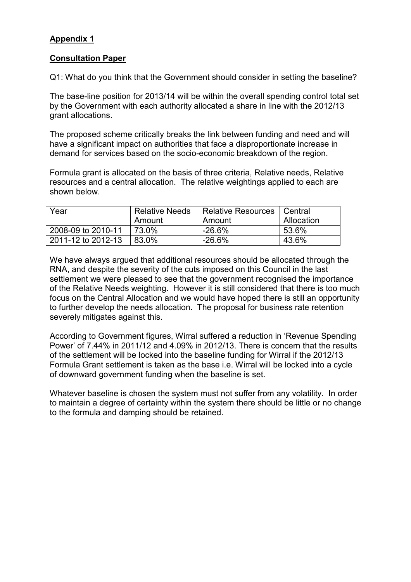# **Appendix 1**

# **Consultation Paper**

Q1: What do you think that the Government should consider in setting the baseline?

The base-line position for 2013/14 will be within the overall spending control total set by the Government with each authority allocated a share in line with the 2012/13 grant allocations.

The proposed scheme critically breaks the link between funding and need and will have a significant impact on authorities that face a disproportionate increase in demand for services based on the socio-economic breakdown of the region.

Formula grant is allocated on the basis of three criteria, Relative needs, Relative resources and a central allocation. The relative weightings applied to each are shown below.

| Year               | <b>Relative Needs</b> | Relative Resources   Central |            |
|--------------------|-----------------------|------------------------------|------------|
|                    | Amount                | Amount                       | Allocation |
| 2008-09 to 2010-11 | 73.0%                 | -26.6%                       | 53.6%      |
| 2011-12 to 2012-13 | $83.0\%$              | -26.6%                       | 43.6%      |

We have always argued that additional resources should be allocated through the RNA, and despite the severity of the cuts imposed on this Council in the last settlement we were pleased to see that the government recognised the importance of the Relative Needs weighting. However it is still considered that there is too much focus on the Central Allocation and we would have hoped there is still an opportunity to further develop the needs allocation. The proposal for business rate retention severely mitigates against this.

According to Government figures, Wirral suffered a reduction in 'Revenue Spending Power' of 7.44% in 2011/12 and 4.09% in 2012/13. There is concern that the results of the settlement will be locked into the baseline funding for Wirral if the 2012/13 Formula Grant settlement is taken as the base i.e. Wirral will be locked into a cycle of downward government funding when the baseline is set.

Whatever baseline is chosen the system must not suffer from any volatility. In order to maintain a degree of certainty within the system there should be little or no change to the formula and damping should be retained.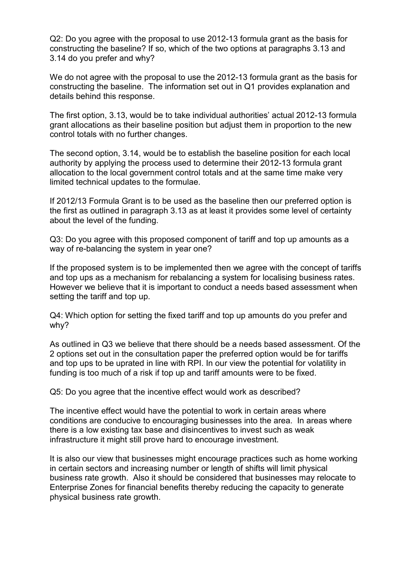Q2: Do you agree with the proposal to use 2012-13 formula grant as the basis for constructing the baseline? If so, which of the two options at paragraphs 3.13 and 3.14 do you prefer and why?

We do not agree with the proposal to use the 2012-13 formula grant as the basis for constructing the baseline. The information set out in Q1 provides explanation and details behind this response.

The first option, 3.13, would be to take individual authorities' actual 2012-13 formula grant allocations as their baseline position but adjust them in proportion to the new control totals with no further changes.

The second option, 3.14, would be to establish the baseline position for each local authority by applying the process used to determine their 2012-13 formula grant allocation to the local government control totals and at the same time make very limited technical updates to the formulae.

If 2012/13 Formula Grant is to be used as the baseline then our preferred option is the first as outlined in paragraph 3.13 as at least it provides some level of certainty about the level of the funding.

Q3: Do you agree with this proposed component of tariff and top up amounts as a way of re-balancing the system in year one?

If the proposed system is to be implemented then we agree with the concept of tariffs and top ups as a mechanism for rebalancing a system for localising business rates. However we believe that it is important to conduct a needs based assessment when setting the tariff and top up.

Q4: Which option for setting the fixed tariff and top up amounts do you prefer and why?

As outlined in Q3 we believe that there should be a needs based assessment. Of the 2 options set out in the consultation paper the preferred option would be for tariffs and top ups to be uprated in line with RPI. In our view the potential for volatility in funding is too much of a risk if top up and tariff amounts were to be fixed.

Q5: Do you agree that the incentive effect would work as described?

The incentive effect would have the potential to work in certain areas where conditions are conducive to encouraging businesses into the area. In areas where there is a low existing tax base and disincentives to invest such as weak infrastructure it might still prove hard to encourage investment.

It is also our view that businesses might encourage practices such as home working in certain sectors and increasing number or length of shifts will limit physical business rate growth. Also it should be considered that businesses may relocate to Enterprise Zones for financial benefits thereby reducing the capacity to generate physical business rate growth.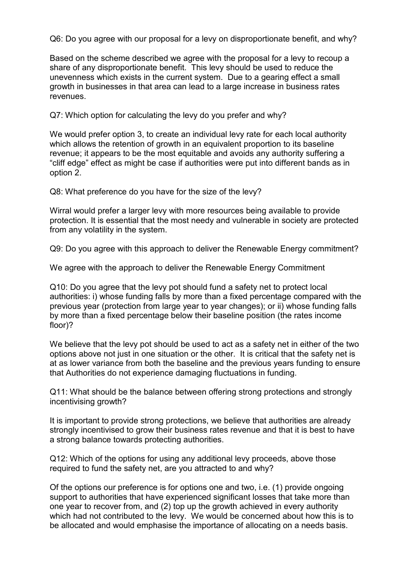Q6: Do you agree with our proposal for a levy on disproportionate benefit, and why?

Based on the scheme described we agree with the proposal for a levy to recoup a share of any disproportionate benefit. This levy should be used to reduce the unevenness which exists in the current system. Due to a gearing effect a small growth in businesses in that area can lead to a large increase in business rates revenues.

Q7: Which option for calculating the levy do you prefer and why?

We would prefer option 3, to create an individual levy rate for each local authority which allows the retention of growth in an equivalent proportion to its baseline revenue; it appears to be the most equitable and avoids any authority suffering a "cliff edge" effect as might be case if authorities were put into different bands as in option 2.

Q8: What preference do you have for the size of the levy?

Wirral would prefer a larger levy with more resources being available to provide protection. It is essential that the most needy and vulnerable in society are protected from any volatility in the system.

Q9: Do you agree with this approach to deliver the Renewable Energy commitment?

We agree with the approach to deliver the Renewable Energy Commitment

Q10: Do you agree that the levy pot should fund a safety net to protect local authorities: i) whose funding falls by more than a fixed percentage compared with the previous year (protection from large year to year changes); or ii) whose funding falls by more than a fixed percentage below their baseline position (the rates income floor)?

We believe that the levy pot should be used to act as a safety net in either of the two options above not just in one situation or the other. It is critical that the safety net is at as lower variance from both the baseline and the previous years funding to ensure that Authorities do not experience damaging fluctuations in funding.

Q11: What should be the balance between offering strong protections and strongly incentivising growth?

It is important to provide strong protections, we believe that authorities are already strongly incentivised to grow their business rates revenue and that it is best to have a strong balance towards protecting authorities.

Q12: Which of the options for using any additional levy proceeds, above those required to fund the safety net, are you attracted to and why?

Of the options our preference is for options one and two, i.e. (1) provide ongoing support to authorities that have experienced significant losses that take more than one year to recover from, and (2) top up the growth achieved in every authority which had not contributed to the levy. We would be concerned about how this is to be allocated and would emphasise the importance of allocating on a needs basis.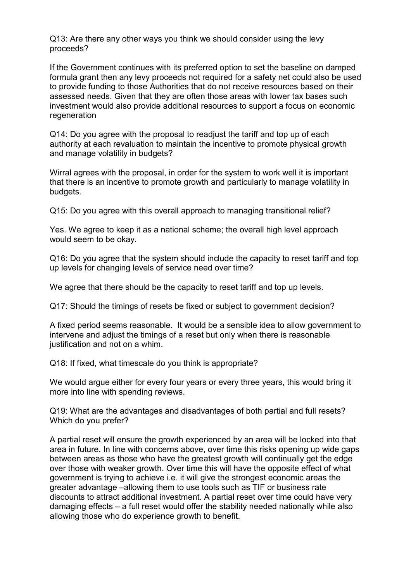Q13: Are there any other ways you think we should consider using the levy proceeds?

If the Government continues with its preferred option to set the baseline on damped formula grant then any levy proceeds not required for a safety net could also be used to provide funding to those Authorities that do not receive resources based on their assessed needs. Given that they are often those areas with lower tax bases such investment would also provide additional resources to support a focus on economic regeneration

Q14: Do you agree with the proposal to readjust the tariff and top up of each authority at each revaluation to maintain the incentive to promote physical growth and manage volatility in budgets?

Wirral agrees with the proposal, in order for the system to work well it is important that there is an incentive to promote growth and particularly to manage volatility in budgets.

Q15: Do you agree with this overall approach to managing transitional relief?

Yes. We agree to keep it as a national scheme; the overall high level approach would seem to be okay.

Q16: Do you agree that the system should include the capacity to reset tariff and top up levels for changing levels of service need over time?

We agree that there should be the capacity to reset tariff and top up levels.

Q17: Should the timings of resets be fixed or subject to government decision?

A fixed period seems reasonable. It would be a sensible idea to allow government to intervene and adjust the timings of a reset but only when there is reasonable justification and not on a whim.

Q18: If fixed, what timescale do you think is appropriate?

We would argue either for every four years or every three years, this would bring it more into line with spending reviews.

Q19: What are the advantages and disadvantages of both partial and full resets? Which do you prefer?

A partial reset will ensure the growth experienced by an area will be locked into that area in future. In line with concerns above, over time this risks opening up wide gaps between areas as those who have the greatest growth will continually get the edge over those with weaker growth. Over time this will have the opposite effect of what government is trying to achieve i.e. it will give the strongest economic areas the greater advantage –allowing them to use tools such as TIF or business rate discounts to attract additional investment. A partial reset over time could have very damaging effects – a full reset would offer the stability needed nationally while also allowing those who do experience growth to benefit.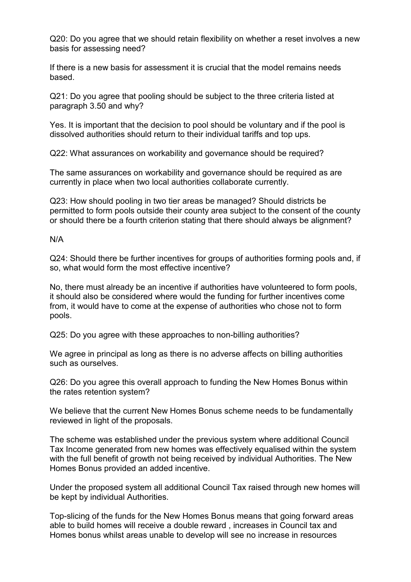Q20: Do you agree that we should retain flexibility on whether a reset involves a new basis for assessing need?

If there is a new basis for assessment it is crucial that the model remains needs based.

Q21: Do you agree that pooling should be subject to the three criteria listed at paragraph 3.50 and why?

Yes. It is important that the decision to pool should be voluntary and if the pool is dissolved authorities should return to their individual tariffs and top ups.

Q22: What assurances on workability and governance should be required?

The same assurances on workability and governance should be required as are currently in place when two local authorities collaborate currently.

Q23: How should pooling in two tier areas be managed? Should districts be permitted to form pools outside their county area subject to the consent of the county or should there be a fourth criterion stating that there should always be alignment?

N/A

Q24: Should there be further incentives for groups of authorities forming pools and, if so, what would form the most effective incentive?

No, there must already be an incentive if authorities have volunteered to form pools, it should also be considered where would the funding for further incentives come from, it would have to come at the expense of authorities who chose not to form pools.

Q25: Do you agree with these approaches to non-billing authorities?

We agree in principal as long as there is no adverse affects on billing authorities such as ourselves.

Q26: Do you agree this overall approach to funding the New Homes Bonus within the rates retention system?

We believe that the current New Homes Bonus scheme needs to be fundamentally reviewed in light of the proposals.

The scheme was established under the previous system where additional Council Tax Income generated from new homes was effectively equalised within the system with the full benefit of growth not being received by individual Authorities. The New Homes Bonus provided an added incentive.

Under the proposed system all additional Council Tax raised through new homes will be kept by individual Authorities.

Top-slicing of the funds for the New Homes Bonus means that going forward areas able to build homes will receive a double reward , increases in Council tax and Homes bonus whilst areas unable to develop will see no increase in resources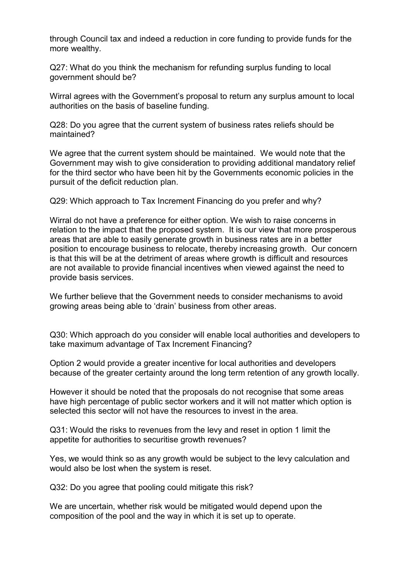through Council tax and indeed a reduction in core funding to provide funds for the more wealthy.

Q27: What do you think the mechanism for refunding surplus funding to local government should be?

Wirral agrees with the Government's proposal to return any surplus amount to local authorities on the basis of baseline funding.

Q28: Do you agree that the current system of business rates reliefs should be maintained?

We agree that the current system should be maintained. We would note that the Government may wish to give consideration to providing additional mandatory relief for the third sector who have been hit by the Governments economic policies in the pursuit of the deficit reduction plan.

Q29: Which approach to Tax Increment Financing do you prefer and why?

Wirral do not have a preference for either option. We wish to raise concerns in relation to the impact that the proposed system. It is our view that more prosperous areas that are able to easily generate growth in business rates are in a better position to encourage business to relocate, thereby increasing growth. Our concern is that this will be at the detriment of areas where growth is difficult and resources are not available to provide financial incentives when viewed against the need to provide basis services.

We further believe that the Government needs to consider mechanisms to avoid growing areas being able to 'drain' business from other areas.

Q30: Which approach do you consider will enable local authorities and developers to take maximum advantage of Tax Increment Financing?

Option 2 would provide a greater incentive for local authorities and developers because of the greater certainty around the long term retention of any growth locally.

However it should be noted that the proposals do not recognise that some areas have high percentage of public sector workers and it will not matter which option is selected this sector will not have the resources to invest in the area.

Q31: Would the risks to revenues from the levy and reset in option 1 limit the appetite for authorities to securitise growth revenues?

Yes, we would think so as any growth would be subject to the levy calculation and would also be lost when the system is reset.

Q32: Do you agree that pooling could mitigate this risk?

We are uncertain, whether risk would be mitigated would depend upon the composition of the pool and the way in which it is set up to operate.